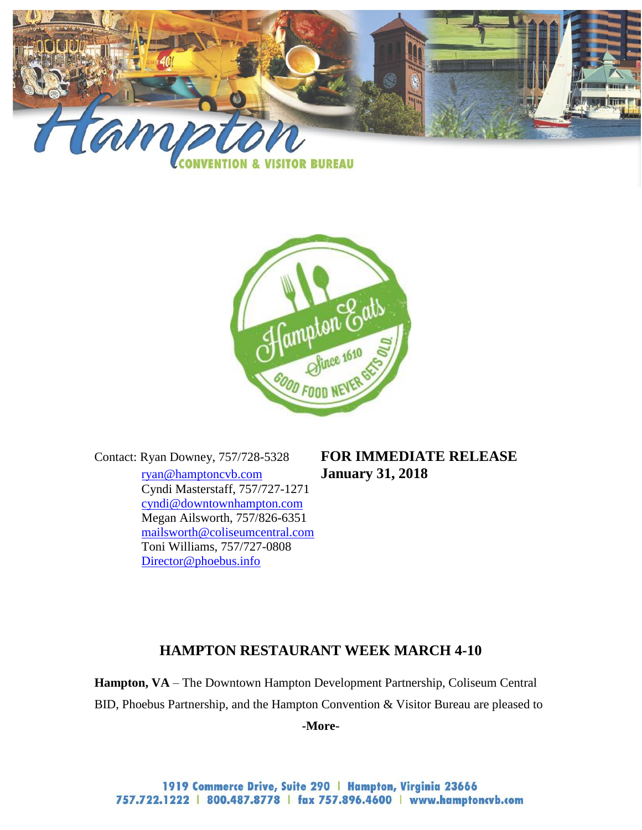



Contact: Ryan Downey, 757/728-5328 **FOR IMMEDIATE RELEASE** [ryan@hamptoncvb.com](mailto:ryan@hamptoncvb.com) **January 31, 2018** Cyndi Masterstaff, 757/727-1271 [cyndi@downtownhampton.com](mailto:cyndi@downtownhampton.com) Megan Ailsworth, 757/826-6351 [mailsworth@coliseumcentral.com](mailto:mailsworth@coliseumcentral.com) Toni Williams, 757/727-0808 [Director@phoebus.info](mailto:Director@phoebus.info)

## **HAMPTON RESTAURANT WEEK MARCH 4-10**

**Hampton, VA** – The Downtown Hampton Development Partnership, Coliseum Central BID, Phoebus Partnership, and the Hampton Convention & Visitor Bureau are pleased to

**-More-**

1919 Commerce Drive, Suite 290 | Hampton, Virginia 23666 757.722.1222 | 800.487.8778 | fax 757.896.4600 | www.hamptoncvb.com